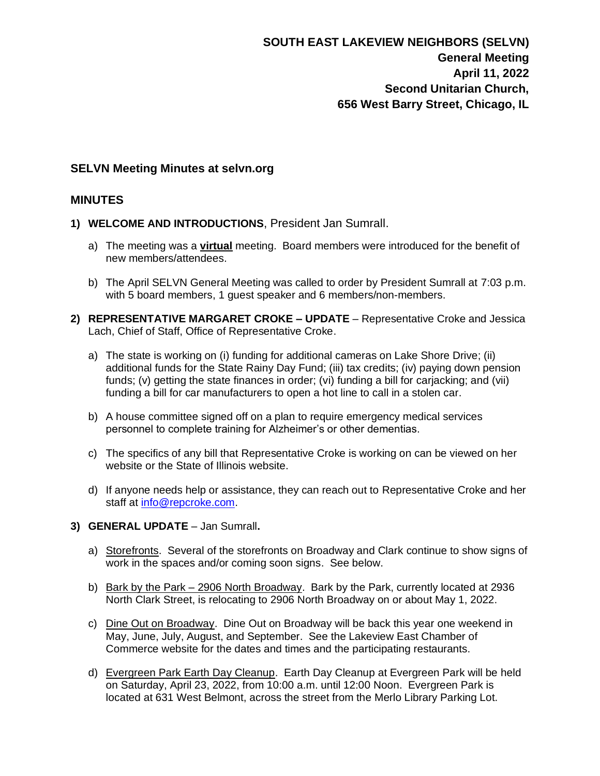## **SELVN Meeting Minutes at selvn.org**

## **MINUTES**

- **1) WELCOME AND INTRODUCTIONS**, President Jan Sumrall.
	- a) The meeting was a **virtual** meeting. Board members were introduced for the benefit of new members/attendees.
	- b) The April SELVN General Meeting was called to order by President Sumrall at 7:03 p.m. with 5 board members, 1 guest speaker and 6 members/non-members.
- **2) REPRESENTATIVE MARGARET CROKE – UPDATE** Representative Croke and Jessica Lach, Chief of Staff, Office of Representative Croke.
	- a) The state is working on (i) funding for additional cameras on Lake Shore Drive; (ii) additional funds for the State Rainy Day Fund; (iii) tax credits; (iv) paying down pension funds; (v) getting the state finances in order; (vi) funding a bill for carjacking; and (vii) funding a bill for car manufacturers to open a hot line to call in a stolen car.
	- b) A house committee signed off on a plan to require emergency medical services personnel to complete training for Alzheimer's or other dementias.
	- c) The specifics of any bill that Representative Croke is working on can be viewed on her website or the State of Illinois website.
	- d) If anyone needs help or assistance, they can reach out to Representative Croke and her staff at [info@repcroke.com.](mailto:info@repcroke.com)
- **3) GENERAL UPDATE** Jan Sumrall**.**
	- a) Storefronts. Several of the storefronts on Broadway and Clark continue to show signs of work in the spaces and/or coming soon signs. See below.
	- b) Bark by the Park 2906 North Broadway. Bark by the Park, currently located at 2936 North Clark Street, is relocating to 2906 North Broadway on or about May 1, 2022.
	- c) Dine Out on Broadway. Dine Out on Broadway will be back this year one weekend in May, June, July, August, and September. See the Lakeview East Chamber of Commerce website for the dates and times and the participating restaurants.
	- d) Evergreen Park Earth Day Cleanup. Earth Day Cleanup at Evergreen Park will be held on Saturday, April 23, 2022, from 10:00 a.m. until 12:00 Noon. Evergreen Park is located at 631 West Belmont, across the street from the Merlo Library Parking Lot.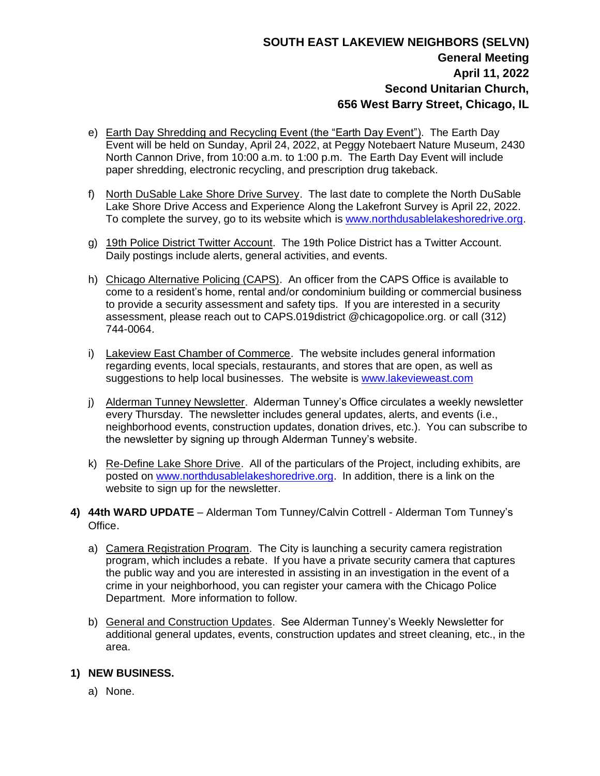# **SOUTH EAST LAKEVIEW NEIGHBORS (SELVN) General Meeting April 11, 2022 Second Unitarian Church, 656 West Barry Street, Chicago, IL**

- e) Earth Day Shredding and Recycling Event (the "Earth Day Event"). The Earth Day Event will be held on Sunday, April 24, 2022, at Peggy Notebaert Nature Museum, 2430 North Cannon Drive, from 10:00 a.m. to 1:00 p.m. The Earth Day Event will include paper shredding, electronic recycling, and prescription drug takeback.
- f) North DuSable Lake Shore Drive Survey. The last date to complete the North DuSable Lake Shore Drive Access and Experience Along the Lakefront Survey is April 22, 2022. To complete the survey, go to its website which is [www.northdusablelakeshoredrive.org.](http://www.northdusablelakeshoredrive.org/)
- g) 19th Police District Twitter Account. The 19th Police District has a Twitter Account. Daily postings include alerts, general activities, and events.
- h) Chicago Alternative Policing (CAPS). An officer from the CAPS Office is available to come to a resident's home, rental and/or condominium building or commercial business to provide a security assessment and safety tips. If you are interested in a security assessment, please reach out to CAPS.019district @chicagopolice.org. or call (312) 744-0064.
- i) Lakeview East Chamber of Commerce. The website includes general information regarding events, local specials, restaurants, and stores that are open, as well as suggestions to help local businesses. The website is [www.lakevieweast.com](http://www.lakevieweast.com/)
- j) Alderman Tunney Newsletter. Alderman Tunney's Office circulates a weekly newsletter every Thursday. The newsletter includes general updates, alerts, and events (i.e., neighborhood events, construction updates, donation drives, etc.). You can subscribe to the newsletter by signing up through Alderman Tunney's website.
- k) Re-Define Lake Shore Drive. All of the particulars of the Project, including exhibits, are posted on [www.northdusablelakeshoredrive.org.](http://www.northdusablelakeshoredrive.org/) In addition, there is a link on the website to sign up for the newsletter.
- **4) 44th WARD UPDATE** Alderman Tom Tunney/Calvin Cottrell Alderman Tom Tunney's Office.
	- a) Camera Registration Program. The City is launching a security camera registration program, which includes a rebate. If you have a private security camera that captures the public way and you are interested in assisting in an investigation in the event of a crime in your neighborhood, you can register your camera with the Chicago Police Department. More information to follow.
	- b) General and Construction Updates. See Alderman Tunney's Weekly Newsletter for additional general updates, events, construction updates and street cleaning, etc., in the area.

#### **1) NEW BUSINESS.**

a) None.